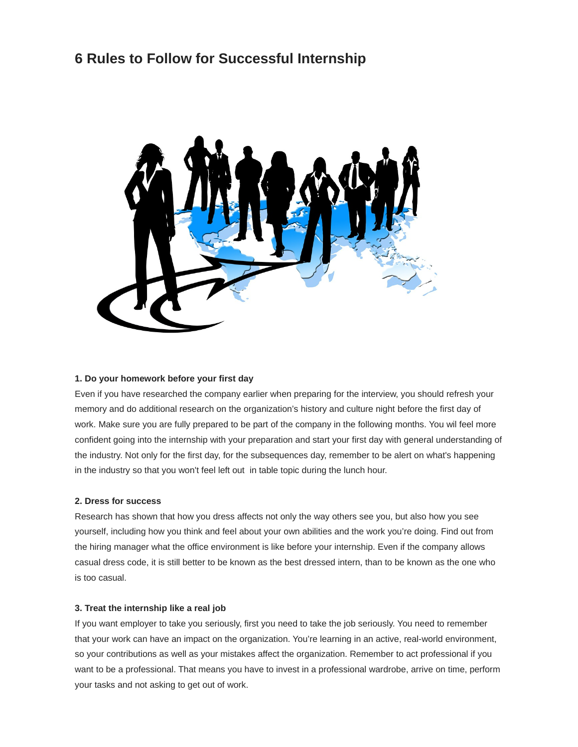# **6 Rules to Follow for Successful Internship**



### **1. Do your homework before your first day**

Even if you have researched the company earlier when preparing for the interview, you should refresh your memory and do additional research on the organization's history and culture night before the first day of work. Make sure you are fully prepared to be part of the company in the following months. You wil feel more confident going into the internship with your preparation and start your first day with general understanding of the industry. Not only for the first day, for the subsequences day, remember to be alert on what's happening in the industry so that you won't feel left out in table topic during the lunch hour.

#### **2. Dress for success**

Research has shown that how you dress affects not only the way others see you, but also how you see yourself, including how you think and feel about your own abilities and the work you're doing. Find out from the hiring manager what the office environment is like before your internship. Even if the company allows casual dress code, it is still better to be known as the best dressed intern, than to be known as the one who is too casual.

#### **3. Treat the internship like a real job**

If you want employer to take you seriously, first you need to take the job seriously. You need to remember that your work can have an impact on the organization. You're learning in an active, real-world environment, so your contributions as well as your mistakes affect the organization. Remember to act professional if you want to be a professional. That means you have to invest in a professional wardrobe, arrive on time, perform your tasks and not asking to get out of work.